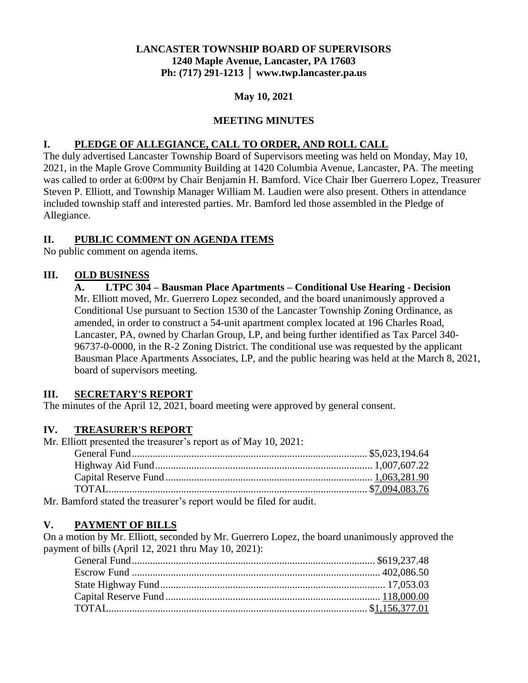# **LANCASTER TOWNSHIP BOARD OF SUPERVISORS 1240 Maple Avenue, Lancaster, PA 17603 Ph: (717) 291-1213 │ www.twp.lancaster.pa.us**

### **May 10, 2021**

### **MEETING MINUTES**

### **I. PLEDGE OF ALLEGIANCE, CALL TO ORDER, AND ROLL CALL**

The duly advertised Lancaster Township Board of Supervisors meeting was held on Monday, May 10, 2021, in the Maple Grove Community Building at 1420 Columbia Avenue, Lancaster, PA. The meeting was called to order at 6:00PM by Chair Benjamin H. Bamford. Vice Chair Iber Guerrero Lopez, Treasurer Steven P. Elliott, and Township Manager William M. Laudien were also present. Others in attendance included township staff and interested parties. Mr. Bamford led those assembled in the Pledge of Allegiance.

### **II. PUBLIC COMMENT ON AGENDA ITEMS**

No public comment on agenda items.

### **III. OLD BUSINESS**

**A. LTPC 304 – Bausman Place Apartments – Conditional Use Hearing - Decision** Mr. Elliott moved, Mr. Guerrero Lopez seconded, and the board unanimously approved a Conditional Use pursuant to Section 1530 of the Lancaster Township Zoning Ordinance, as amended, in order to construct a 54-unit apartment complex located at 196 Charles Road, Lancaster, PA, owned by Charlan Group, LP, and being further identified as Tax Parcel 340- 96737-0-0000, in the R-2 Zoning District. The conditional use was requested by the applicant Bausman Place Apartments Associates, LP, and the public hearing was held at the March 8, 2021, board of supervisors meeting.

#### **III. SECRETARY'S REPORT**

The minutes of the April 12, 2021, board meeting were approved by general consent.

#### **IV. TREASURER'S REPORT**

Mr. Elliott presented the treasurer's report as of May 10, 2021:

| $\sim$ 0 1 $\pm$ 1 1 $\pm$ 1 $\pm$ 1 $\pm$ 1 $\pm$ 1 $\pm$ 1 $\pm$ 1 $\pm$ 1 $\pm$ 1 $\pm$ 1 $\pm$ 1 $\pm$ 1 $\pm$ 1 $\pm$ 1 $\pm$ 1 $\pm$ 1 $\pm$ 1 $\pm$ 1 $\pm$ 1 $\pm$ 1 $\pm$ 1 $\pm$ 1 $\pm$ 1 $\pm$ 1 $\pm$ 1 $\pm$ 1 $\pm$ 1 $\pm$ 1 $\pm$ 1 $\pm$ 1 |  |
|--------------------------------------------------------------------------------------------------------------------------------------------------------------------------------------------------------------------------------------------------------------|--|

Mr. Bamford stated the treasurer's report would be filed for audit.

#### **V. PAYMENT OF BILLS**

On a motion by Mr. Elliott, seconded by Mr. Guerrero Lopez, the board unanimously approved the payment of bills (April 12, 2021 thru May 10, 2021):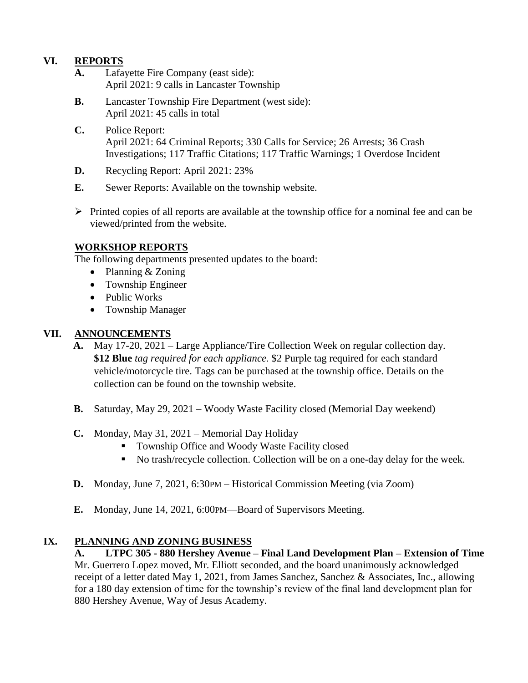# **VI. REPORTS**

- **A.** Lafayette Fire Company (east side): April 2021: 9 calls in Lancaster Township
- **B.** Lancaster Township Fire Department (west side): April 2021: 45 calls in total
- **C.** Police Report: April 2021: 64 Criminal Reports; 330 Calls for Service; 26 Arrests; 36 Crash Investigations; 117 Traffic Citations; 117 Traffic Warnings; 1 Overdose Incident
- **D.** Recycling Report: April 2021: 23%
- **E.** Sewer Reports: Available on the township website.
- $\triangleright$  Printed copies of all reports are available at the township office for a nominal fee and can be viewed/printed from the website.

### **WORKSHOP REPORTS**

The following departments presented updates to the board:

- Planning & Zoning
- Township Engineer
- Public Works
- Township Manager

# **VII. ANNOUNCEMENTS**

- **A.** May 17-20, 2021 Large Appliance/Tire Collection Week on regular collection day. **\$12 Blue** *tag required for each appliance.* \$2 Purple tag required for each standard vehicle/motorcycle tire. Tags can be purchased at the township office. Details on the collection can be found on the township website.
- **B.** Saturday, May 29, 2021 Woody Waste Facility closed (Memorial Day weekend)
- **C.** Monday, May 31, 2021 Memorial Day Holiday
	- Township Office and Woody Waste Facility closed
	- No trash/recycle collection. Collection will be on a one-day delay for the week.
- **D.** Monday, June 7, 2021, 6:30PM Historical Commission Meeting (via Zoom)
- **E.** Monday, June 14, 2021, 6:00PM—Board of Supervisors Meeting.

### **IX. PLANNING AND ZONING BUSINESS**

**A. LTPC 305 - 880 Hershey Avenue – Final Land Development Plan – Extension of Time** Mr. Guerrero Lopez moved, Mr. Elliott seconded, and the board unanimously acknowledged receipt of a letter dated May 1, 2021, from James Sanchez, Sanchez & Associates, Inc., allowing for a 180 day extension of time for the township's review of the final land development plan for 880 Hershey Avenue, Way of Jesus Academy.